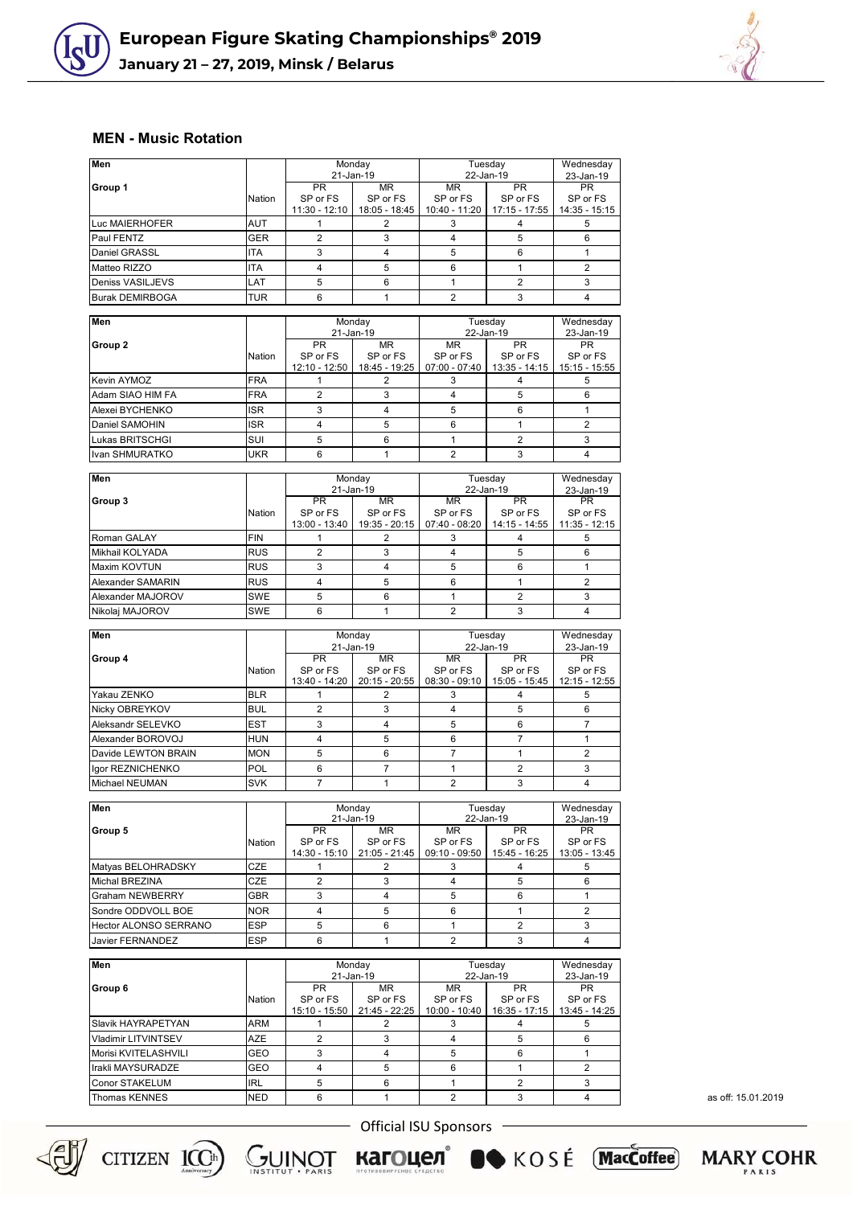



## **MEN - Music Rotation**

| Men                          |            |                                        | Monday<br>21-Jan-19             | Tuesday<br>22-Jan-19                     |                                          | Wednesday<br>23-Jan-19                   |
|------------------------------|------------|----------------------------------------|---------------------------------|------------------------------------------|------------------------------------------|------------------------------------------|
| Group 1                      | Nation     | <b>PR</b><br>SP or FS                  | <b>MR</b><br>SP or FS           | <b>MR</b><br>SP or FS                    | <b>PR</b><br>SP or FS                    | <b>PR</b><br>SP or FS                    |
|                              |            | 11:30 - 12:10                          | 18:05 - 18:45                   | 10:40 - 11:20                            | $17:15 - 17:55$                          | 14:35 - 15:15                            |
| Luc MAIERHOFER<br>Paul FENTZ | AUT<br>GER | 1<br>2                                 | 2<br>3                          | 3<br>4                                   | 4<br>5                                   | 5<br>6                                   |
| Daniel GRASSL                | <b>ITA</b> | 3                                      | 4                               | 5                                        | 6                                        | $\mathbf{1}$                             |
| Matteo RIZZO                 | <b>ITA</b> | $\overline{4}$                         | 5                               | 6                                        | $\mathbf{1}$                             | $\overline{2}$                           |
| Deniss VASILJEVS             | LAT        | 5                                      | 6                               | 1                                        | $\overline{2}$                           | 3                                        |
| <b>Burak DEMIRBOGA</b>       | TUR        | 6                                      | $\mathbf{1}$                    | $\overline{2}$                           | 3                                        | $\overline{4}$                           |
|                              |            |                                        |                                 |                                          |                                          |                                          |
| Men                          |            |                                        | Monday<br>21-Jan-19             |                                          | Tuesday<br>22-Jan-19                     | Wednesday<br>23-Jan-19                   |
| Group 2                      | Nation     | <b>PR</b><br>SP or FS<br>12:10 - 12:50 | MR<br>SP or FS<br>18:45 - 19:25 | <b>MR</b><br>SP or FS<br>$07:00 - 07:40$ | <b>PR</b><br>SP or FS<br>$13:35 - 14:15$ | <b>PR</b><br>SP or FS<br>$15:15 - 15:55$ |
| Kevin AYMOZ                  | FRA        | 1                                      | 2                               | 3                                        | 4                                        | 5                                        |
| Adam SIAO HIM FA             | FRA        | $\overline{2}$                         | 3                               | 4                                        | 5                                        | 6                                        |
| Alexei BYCHENKO              | <b>ISR</b> | 3                                      | $\overline{4}$                  | 5                                        | 6                                        | $\mathbf{1}$                             |
| Daniel SAMOHIN               | ISR        | 4                                      | 5                               | 6                                        | $\mathbf{1}$                             | $\overline{2}$                           |
| Lukas BRITSCHGI              | SUI        | 5                                      | 6                               | 1                                        | $\overline{2}$                           | 3                                        |
| Ivan SHMURATKO               | <b>UKR</b> | 6                                      | $\mathbf{1}$                    | $\overline{2}$                           | 3                                        | $\overline{4}$                           |
| Men                          |            |                                        | Monday                          |                                          | Tuesday                                  | Wednesday                                |
| Group 3                      |            | PR                                     | 21-Jan-19<br>ΜR                 | ΜR                                       | 22-Jan-19<br>PR.                         | 23-Jan-19<br>PR                          |
|                              | Nation     | SP or FS<br>13:00 - 13:40              | SP or FS<br>19:35 - 20:15       | SP or FS<br>$07:40 - 08:20$              | SP or FS<br>14:15 - 14:55                | SP or FS<br>$11:35 - 12:15$              |
| Roman GALAY                  | FIN        | $\mathbf{1}$                           | 2                               | 3                                        | $\overline{4}$                           | 5                                        |
| Mikhail KOLYADA              | <b>RUS</b> | 2                                      | 3                               | 4                                        | 5                                        | 6                                        |
| Maxim KOVTUN                 | <b>RUS</b> | 3                                      | 4                               | 5                                        | 6                                        | $\mathbf{1}$                             |
| Alexander SAMARIN            | <b>RUS</b> | $\overline{4}$                         | 5                               | 6                                        | $\mathbf{1}$                             | 2                                        |
| Alexander MAJOROV            | <b>SWE</b> | 5                                      | 6                               | $\mathbf{1}$                             | $\overline{2}$                           | 3                                        |
| Nikolaj MAJOROV              | SWE        | 6                                      | 1                               | $\overline{2}$                           | 3                                        | $\overline{4}$                           |
| Men                          |            |                                        | Monday                          |                                          | Tuesday                                  | Wednesday                                |
|                              |            |                                        | 21-Jan-19                       | 22-Jan-19                                |                                          | 23-Jan-19                                |
| Group 4                      |            | <b>PR</b>                              | ΜR                              | MR                                       | <b>PR</b>                                | <b>PR</b>                                |
|                              | Nation     | SP or FS                               | SP or FS                        | SP or FS                                 | SP or FS                                 | SP or FS                                 |
| Yakau ZENKO                  | <b>BLR</b> | 13:40 - 14:20<br>$\mathbf{1}$          | $20:15 - 20:55$<br>2            | $08:30 - 09:10$<br>3                     | 15:05 - 15:45<br>4                       | 12:15 - 12:55<br>5                       |
| Nicky OBREYKOV               | <b>BUL</b> | 2                                      | 3                               | 4                                        | 5                                        | 6                                        |
| Aleksandr SELEVKO            | EST        | 3                                      | 4                               | 5                                        | 6                                        | $\overline{7}$                           |
| Alexander BOROVOJ            | HUN        | 4                                      | 5                               | 6                                        | $\overline{7}$                           | $\mathbf{1}$                             |
| Davide LEWTON BRAIN          | <b>MON</b> | 5                                      | 6                               | $\overline{7}$                           | $\mathbf{1}$                             | 2                                        |
| lgor REZNICHENKO             | POL        | 6                                      | $\overline{7}$                  | $\mathbf{1}$                             | $\overline{2}$                           | 3                                        |
| Michael NEUMAN               | <b>SVK</b> | $\overline{7}$                         | 1                               | $\overline{2}$                           | 3                                        | $\overline{4}$                           |
|                              |            |                                        |                                 |                                          |                                          |                                          |
| Men                          |            |                                        | Monday                          | Tuesday<br>22-Jan-19                     |                                          | Wednesday<br>23-Jan-19                   |
| Group 5                      |            | <b>PR</b>                              | 21-Jan-19<br>ΜR                 | MR                                       | <b>PR</b>                                | <b>PR</b>                                |
|                              | Nation     | SP or FS<br>14:30 - 15:10              | SP or FS<br>21:05 - 21:45       | SP or FS<br>09:10 - 09:50                | SP or FS<br>15:45 - 16:25                | SP or FS<br>13:05 - 13:45                |
| Matyas BELOHRADSKY           | CZE        | $\mathbf{1}$                           | 2                               | 3                                        | 4                                        | 5                                        |
| Michal BREZINA               | CZE        | 2                                      | 3                               | 4                                        | 5                                        | 6                                        |
| Graham NEWBERRY              | GBR        | 3                                      | 4                               | 5                                        | 6                                        | 1                                        |
| Sondre ODDVOLL BOE           | NOR        | 4                                      | 5                               | 6                                        | $\mathbf{1}$                             | $\overline{2}$                           |
| Hector ALONSO SERRANO        | <b>ESP</b> | 5                                      | 6                               | $\mathbf{1}$                             | $\overline{2}$                           | 3                                        |
| <b>Javier FERNANDEZ</b>      | <b>ESP</b> | 6                                      | $\mathbf{1}$                    | $\overline{2}$                           | 3                                        | $\overline{4}$                           |
| Men                          |            |                                        | Monday<br>21-Jan-19             | Tuesday<br>22-Jan-19                     |                                          | Wednesday<br>23-Jan-19                   |
| Group 6                      |            | <b>PR</b>                              | <b>MR</b>                       | <b>MR</b>                                | PR                                       | <b>PR</b>                                |
|                              | Nation     | SP or FS<br>15:10 - 15:50              | SP or FS<br>21:45 - 22:25       | SP or FS<br>10:00 - 10:40                | SP or FS<br>$16:35 - 17:15$              | SP or FS<br>13:45 - 14:25                |
| Slavik HAYRAPETYAN           | ARM        | 1                                      | 2                               | 3                                        | 4                                        | 5                                        |
| Vladimir LITVINTSEV          | AZE        | $\overline{2}$                         | 3                               | 4                                        | 5                                        | 6                                        |
| Morisi KVITELASHVILI         | GEO        | 3                                      | 4                               | 5                                        | 6                                        | 1                                        |
| Irakli MAYSURADZE            | GEO        | 4                                      | 5                               | 6                                        | 1                                        | 2                                        |
| Conor STAKELUM               | <b>IRL</b> | 5                                      | 6                               | 1                                        | $\overline{2}$                           | 3                                        |
|                              |            |                                        | $\mathbf{1}$                    | $\overline{2}$                           | 3                                        | $\overline{4}$                           |
| <b>Thomas KENNES</b>         | <b>NED</b> | 6                                      |                                 |                                          |                                          |                                          |

as off: 15.01.2019

**MARY COHR** 





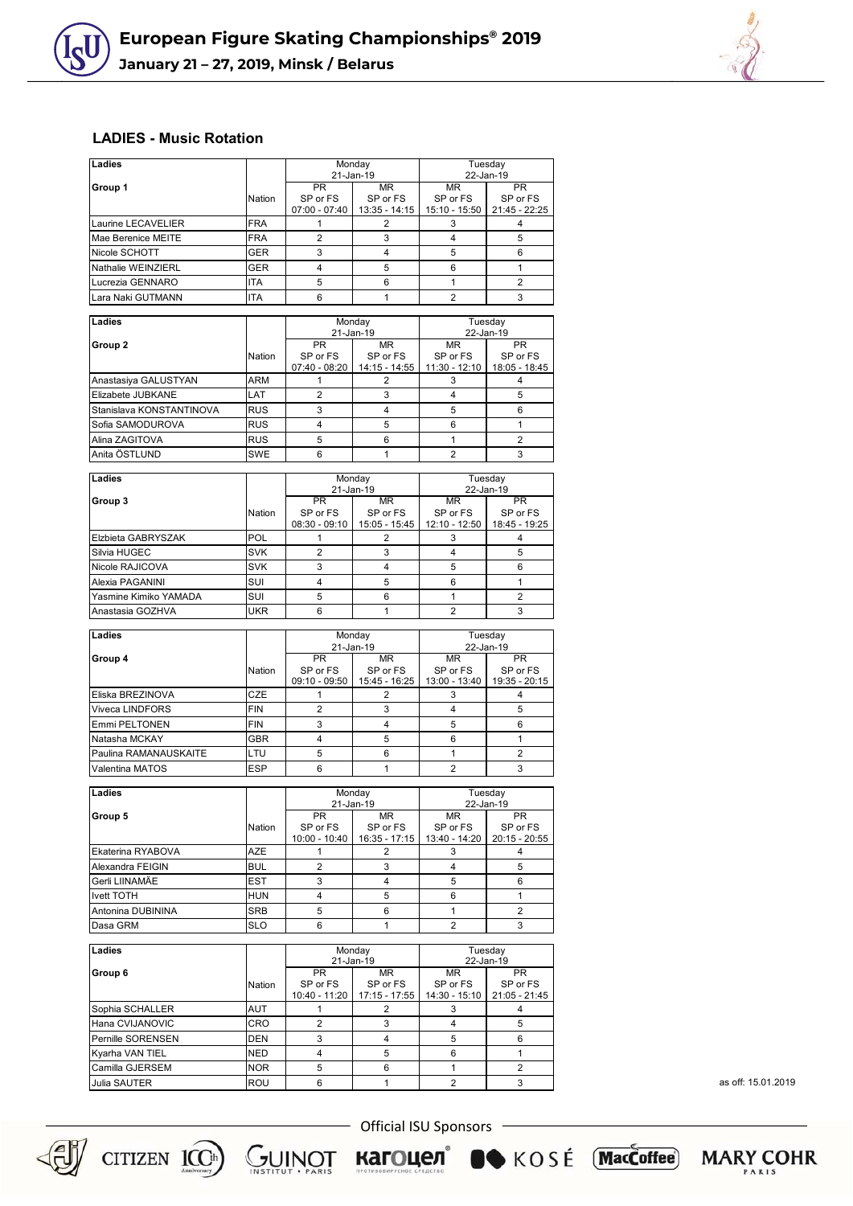

## **LADIES - Music Rotation**

| Ladies                                                                                        |               |                                          | Monday<br>21-Jan-19              | Tuesday<br>22-Jan-19                   |                                        |  |
|-----------------------------------------------------------------------------------------------|---------------|------------------------------------------|----------------------------------|----------------------------------------|----------------------------------------|--|
| Group 1                                                                                       |               | <b>PR</b>                                | MR.                              | <b>MR</b>                              | PR.                                    |  |
|                                                                                               | Nation        | SP or FS                                 | SP or FS                         | SP or FS                               | SP or FS                               |  |
|                                                                                               |               | $07:00 - 07:40$                          | $13:35 - 14:15$                  | 15:10 - 15:50                          | 21:45 - 22:25                          |  |
| Laurine LECAVELIER                                                                            | <b>FRA</b>    | 1                                        | 2                                | 3                                      | 4                                      |  |
| Mae Berenice MEITE                                                                            | <b>FRA</b>    | $\overline{2}$                           | 3                                | 4                                      | 5                                      |  |
| Nicole SCHOTT                                                                                 | <b>GER</b>    | 3                                        | $\overline{4}$                   | 5                                      | 6                                      |  |
| Nathalie WEINZIERL                                                                            | <b>GER</b>    | $\overline{4}$                           | 5                                | 6                                      | $\mathbf{1}$                           |  |
| Lucrezia GENNARO                                                                              | ITA           | 5                                        | 6                                | $\mathbf{1}$                           | 2                                      |  |
| Lara Naki GUTMANN                                                                             | <b>ITA</b>    | 6                                        | $\mathbf{1}$                     | $\overline{2}$                         | 3                                      |  |
| Ladies                                                                                        |               |                                          | Monday                           |                                        | Tuesday                                |  |
|                                                                                               |               |                                          | 21-Jan-19                        |                                        | 22-Jan-19                              |  |
| Group <sub>2</sub>                                                                            | Nation        | <b>PR</b><br>SP or FS<br>07:40 - 08:20   | MR<br>SP or FS<br>14:15 - 14:55  | <b>MR</b><br>SP or FS<br>11:30 - 12:10 | <b>PR</b><br>SP or FS<br>18:05 - 18:45 |  |
| Anastasiya GALUSTYAN                                                                          | ARM           | 1                                        | $\overline{2}$                   | 3                                      | 4                                      |  |
| Elizabete JUBKANE                                                                             | LAT           | $\overline{2}$                           | 3                                | 4                                      | 5                                      |  |
| Stanislava KONSTANTINOVA                                                                      | <b>RUS</b>    | 3                                        | $\overline{4}$                   | 5                                      | 6                                      |  |
| Sofia SAMODUROVA                                                                              | <b>RUS</b>    | 4                                        | 5                                | 6                                      | $\mathbf{1}$                           |  |
| Alina ZAGITOVA                                                                                | <b>RUS</b>    | 5                                        | 6                                | $\mathbf{1}$                           | $\overline{2}$                         |  |
| Anita ÖSTLUND                                                                                 | <b>SWE</b>    | 6                                        | $\mathbf{1}$                     | $\overline{2}$                         | 3                                      |  |
|                                                                                               |               |                                          |                                  |                                        |                                        |  |
| Ladies                                                                                        |               |                                          | Monday<br>21-Jan-19              | Tuesday<br>22-Jan-19                   |                                        |  |
| Group 3                                                                                       | <b>Nation</b> | <b>PR</b><br>SP or FS<br>$08:30 - 09:10$ | MR.<br>SP or FS<br>15:05 - 15:45 | <b>MR</b><br>SP or FS<br>12:10 - 12:50 | <b>PR</b><br>SP or FS<br>18:45 - 19:25 |  |
| Elzbieta GABRYSZAK                                                                            | <b>POL</b>    | 1                                        | 2                                | 3                                      | 4                                      |  |
| Silvia HUGEC                                                                                  | <b>SVK</b>    | $\overline{2}$                           | 3                                | 4                                      | 5                                      |  |
| Nicole RAJICOVA                                                                               | <b>SVK</b>    | 3                                        | $\overline{4}$                   | 5                                      | 6                                      |  |
| Alexia PAGANINI                                                                               | SUI           | $\overline{4}$                           | 5                                | 6                                      | $\mathbf{1}$                           |  |
| Yasmine Kimiko YAMADA                                                                         | SUI           | 5                                        | 6                                | 1                                      | 2                                      |  |
| Anastasia GOZHVA                                                                              | <b>UKR</b>    | 6                                        | $\mathbf{1}$                     | $\overline{2}$                         | 3                                      |  |
|                                                                                               |               |                                          |                                  |                                        |                                        |  |
| Ladies                                                                                        |               |                                          | Monday                           |                                        | Tuesday                                |  |
|                                                                                               |               | <b>PR</b>                                | 21-Jan-19                        | <b>MR</b>                              | 22-Jan-19                              |  |
| Group 4                                                                                       | Nation        | SP or FS<br>$09:10 - 09:50$              | ΜR<br>SP or FS<br>15:45 - 16:25  | SP or FS<br>13:00 - 13:40              | PR<br>SP or FS<br>19:35 - 20:15        |  |
| Eliska BREZINOVA                                                                              | CZE           | $\mathbf{1}$                             | 2                                | 3                                      | 4                                      |  |
| Viveca LINDFORS                                                                               | <b>FIN</b>    | $\overline{2}$                           | 3                                | 4                                      | 5                                      |  |
| Emmi PELTONEN                                                                                 | <b>FIN</b>    | 3                                        | $\overline{4}$                   | 5                                      | 6                                      |  |
| Natasha MCKAY                                                                                 | GBR           | $\overline{4}$                           | 5                                | 6                                      | 1                                      |  |
| Paulina RAMANAUSKAITE                                                                         | LTU           | 5                                        | 6                                | 1                                      | 2                                      |  |
| Valentina MATOS                                                                               | <b>ESP</b>    | 6                                        | $\mathbf{1}$                     | $\overline{2}$                         | 3                                      |  |
|                                                                                               |               |                                          |                                  |                                        |                                        |  |
| Ladies                                                                                        |               |                                          | Monday                           | Tuesday<br>22-Jan-19                   |                                        |  |
| Group 5                                                                                       | Nation        | 21-Jan-19<br>PR<br>SP or FS              | MR<br>SP or FS                   | MR<br>SP or FS                         | PR<br>SP or FS                         |  |
|                                                                                               |               | 10:00 - 10:40                            | 16:35 - 17:15                    |                                        | 13:40 - 14:20   20:15 - 20:55          |  |
| Ekaterina RYABOVA                                                                             | AZE           | 1                                        | 2                                | 3                                      | 4                                      |  |
| Alexandra FEIGIN                                                                              | <b>BUL</b>    | 2                                        | 3                                | 4                                      | 5                                      |  |
| Gerli LIINAMÄE                                                                                | EST           | 3                                        | $\overline{4}$                   | 5                                      | 6                                      |  |
| Ivett TOTH                                                                                    | <b>HUN</b>    | $\overline{4}$                           | 5                                | 6                                      | $\mathbf{1}$                           |  |
| Antonina DUBININA                                                                             | SRB           | 5                                        | 6                                | $\mathbf{1}$                           | $\overline{2}$                         |  |
| Dasa GRM                                                                                      | SLO           | 6                                        | $\mathbf{1}$                     | 2                                      | 3                                      |  |
|                                                                                               |               |                                          |                                  |                                        | Tuesdav                                |  |
| Ladies                                                                                        |               |                                          | Monday<br>21-Jan-19              |                                        | 22-Jan-19                              |  |
| Group 6                                                                                       |               | <b>PR</b>                                | MR.                              | MR.                                    | <b>PR</b>                              |  |
|                                                                                               | <b>Nation</b> | SP or FS                                 | SP or FS                         | SP or FS                               | SP or FS                               |  |
|                                                                                               |               | 10:40 - 11:20                            | $17:15 - 17:55$                  |                                        | 14:30 - 15:10 21:05 - 21:45            |  |
|                                                                                               |               | 1                                        | 2                                | 3                                      | 4                                      |  |
|                                                                                               | AUT           |                                          |                                  |                                        | 5                                      |  |
|                                                                                               | CRO           | $\overline{2}$                           | 3                                | 4                                      |                                        |  |
|                                                                                               | DEN           | 3                                        | 4                                | 5                                      | 6                                      |  |
|                                                                                               | NED           | 4                                        | 5                                | 6                                      | $\mathbf{1}$                           |  |
| Sophia SCHALLER<br>Hana CVIJANOVIC<br>Pernille SORENSEN<br>Kyarha VAN TIEL<br>Camilla GJERSEM | NOR.          | 5                                        | 6                                | $\mathbf{1}$                           | $\overline{2}$                         |  |

as off: 15.01.2019





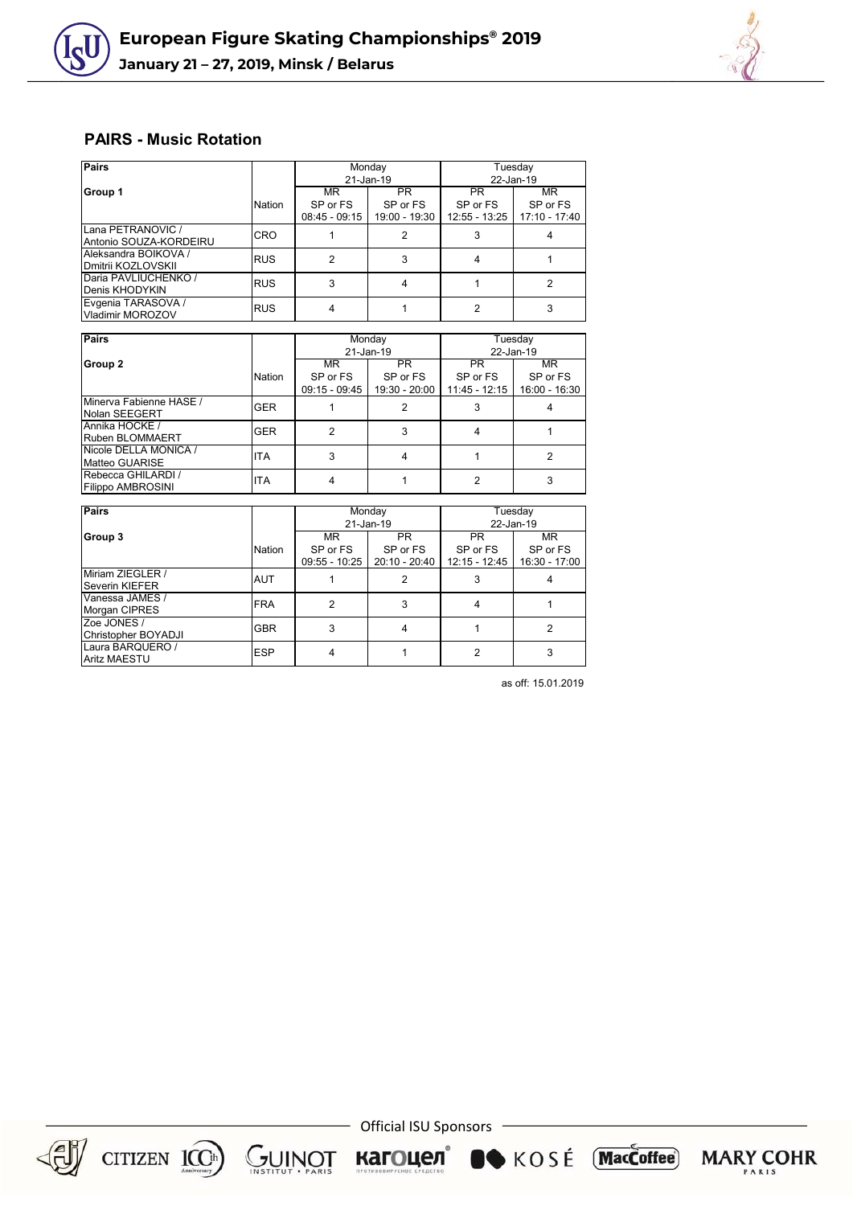



## **PAIRS - Music Rotation**

| Pairs                  |            |               | Monday        | Tuesday       |               |  |
|------------------------|------------|---------------|---------------|---------------|---------------|--|
|                        |            |               | 21-Jan-19     | 22-Jan-19     |               |  |
| Group 1                |            | MR            | PR.           | <b>PR</b>     | MR            |  |
|                        | Nation     | SP or FS      | SP or FS      | SP or FS      | SP or FS      |  |
|                        |            | 08:45 - 09:15 | 19:00 - 19:30 | 12:55 - 13:25 | 17:10 - 17:40 |  |
| Lana PETRANOVIC /      | <b>CRO</b> |               |               |               |               |  |
| Antonio SOUZA-KORDEIRU |            |               |               |               |               |  |
| Aleksandra BOIKOVA /   | <b>RUS</b> | 2             |               |               |               |  |
| Dmitrii KOZLOVSKII     |            |               |               |               |               |  |
| Daria PAVLIUCHENKO /   | <b>RUS</b> | 3             |               |               |               |  |
| Denis KHODYKIN         |            |               |               |               |               |  |
| Evgenia TARASOVA /     | <b>RUS</b> | 4             |               |               |               |  |
| Vladimir MOROZOV       |            |               |               |               |               |  |

| <b>Pairs</b>                             |            |               | Monday        | Tuesday         |               |  |
|------------------------------------------|------------|---------------|---------------|-----------------|---------------|--|
|                                          |            |               | 21-Jan-19     | 22-Jan-19       |               |  |
| Group 2                                  |            | MR            | <b>PR</b>     | PR              | MR            |  |
|                                          | Nation     | SP or FS      | SP or FS      | SP or FS        | SP or FS      |  |
|                                          |            | 09:15 - 09:45 | 19:30 - 20:00 | $11:45 - 12:15$ | 16:00 - 16:30 |  |
| Minerva Fabienne HASE /<br>Nolan SEEGERT | <b>GER</b> |               |               |                 |               |  |
| Annika HOCKE /<br>Ruben BLOMMAERT        | <b>GER</b> |               |               |                 |               |  |
| Nicole DELLA MONICA /<br>Matteo GUARISE  | <b>ITA</b> |               |               |                 |               |  |
| Rebecca GHILARDI /<br>Filippo AMBROSINI  | <b>ITA</b> |               |               |                 |               |  |

| <b>Pairs</b>                              |            |                 | Monday          | Tuesday         |               |  |
|-------------------------------------------|------------|-----------------|-----------------|-----------------|---------------|--|
|                                           |            |                 | 21-Jan-19       | 22-Jan-19       |               |  |
| Group 3                                   |            | MR.             | <b>PR</b>       | <b>PR</b>       | MR.           |  |
|                                           | Nation     | SP or FS        | SP or FS        | SP or FS        | SP or FS      |  |
|                                           |            | $09:55 - 10:25$ | $20:10 - 20:40$ | $12:15 - 12:45$ | 16:30 - 17:00 |  |
| Miriam ZIEGLER /<br><b>Severin KIEFER</b> | <b>AUT</b> |                 | 2               |                 |               |  |
| Vanessa JAMES /<br><b>Morgan CIPRES</b>   | <b>FRA</b> |                 | 3               |                 |               |  |
| Zoe JONES /<br>Christopher BOYADJI        | <b>GBR</b> | 3               | 4               |                 |               |  |
| Laura BARQUERO /<br><b>Aritz MAESTU</b>   | <b>ESP</b> |                 |                 |                 |               |  |

as off: 15.01.2019